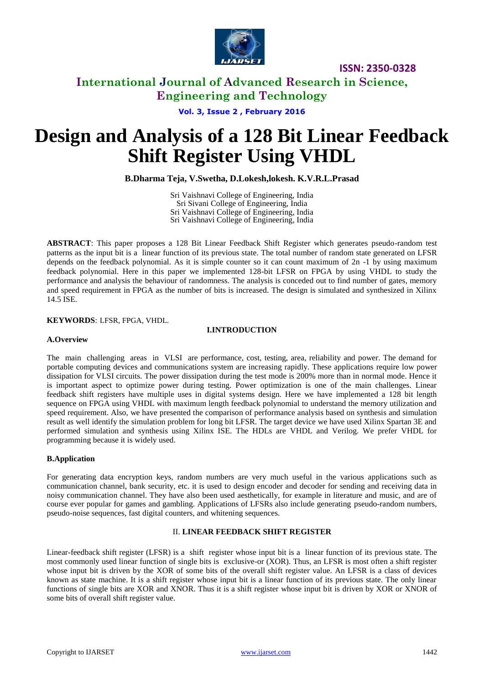

# **International Journal of Advanced Research in Science, Engineering and Technology**

**Vol. 3, Issue 2 , February 2016**

# **Design and Analysis of a 128 Bit Linear Feedback Shift Register Using VHDL**

**B.Dharma Teja, V.Swetha, D.Lokesh,lokesh. K.V.R.L.Prasad**

Sri Vaishnavi College of Engineering, India Sri Sivani College of Engineering, India Sri Vaishnavi College of Engineering, India Sri Vaishnavi College of Engineering, India

**ABSTRACT**: This paper proposes a 128 Bit Linear Feedback Shift Register which generates pseudo-random test patterns as the input bit is a [linear function](http://en.wikipedia.org/wiki/Linear#Boolean_functions) of its previous state. The total number of random state generated on LFSR depends on the feedback polynomial. As it is simple counter so it can count maximum of 2n -1 by using maximum feedback polynomial. Here in this paper we implemented 128-bit LFSR on FPGA by using VHDL to study the performance and analysis the behaviour of randomness. The analysis is conceded out to find number of gates, memory and speed requirement in FPGA as the number of bits is increased. The design is simulated and synthesized in Xilinx 14.5 ISE.

**KEYWORDS**: LFSR, FPGA, VHDL.

## **I.INTRODUCTION**

## **A.Overview**

The main challenging areas in VLSI are performance, cost, testing, area, reliability and power. The demand for portable computing devices and communications system are increasing rapidly. These applications require low power dissipation for VLSI circuits. The power dissipation during the test mode is 200% more than in normal mode. Hence it is important aspect to optimize power during testing. Power optimization is one of the main challenges. Linear feedback shift registers have multiple uses in digital systems design. Here we have implemented a 128 bit length sequence on FPGA using VHDL with maximum length feedback polynomial to understand the memory utilization and speed requirement. Also, we have presented the comparison of performance analysis based on synthesis and simulation result as well identify the simulation problem for long bit LFSR. The target device we have used Xilinx Spartan 3E and performed simulation and synthesis using Xilinx ISE. The HDLs are VHDL and Verilog. We prefer VHDL for programming because it is widely used.

# **B.Application**

For generating data encryption keys, random numbers are very much useful in the various applications such as communication channel, bank security, etc. it is used to design encoder and decoder for sending and receiving data in noisy communication channel. They have also been used aesthetically, for example in literature and music, and are of course ever popular for games and gambling. Applications of LFSRs also include generating pseudo-random numbers, pseudo-noise sequences, fast digital counters, and whitening sequences.

## II. **LINEAR FEEDBACK SHIFT REGISTER**

Linear-feedback shift register (LFSR) is a [shift register](http://en.wikipedia.org/wiki/Shift_register) whose input bit is a [linear function](http://en.wikipedia.org/wiki/Linear#Boolean_functions) of its previous state. The most commonly used linear function of single bits is [exclusive-or](http://en.wikipedia.org/wiki/Exclusive-or) (XOR). Thus, an LFSR is most often a shift register whose input bit is driven by the XOR of some bits of the overall shift register value. An LFSR is a class of devices known as state machine. It is a shift register whose input bit is a linear function of its previous state. The only linear functions of single bits are XOR and XNOR. Thus it is a shift register whose input bit is driven by XOR or XNOR of some bits of overall shift register value.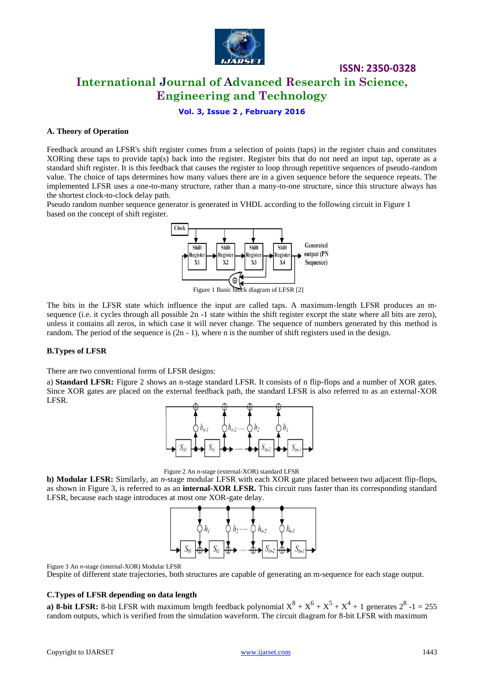

**International Journal of Advanced Research in Science, Engineering and Technology**

**ISSN: 2350-0328**

**Vol. 3, Issue 2 , February 2016**

## **A. Theory of Operation**

Feedback around an LFSR's shift register comes from a selection of points (taps) in the register chain and constitutes XORing these taps to provide tap(s) back into the register. Register bits that do not need an input tap, operate as a standard shift register. It is this feedback that causes the register to loop through repetitive sequences of pseudo-random value. The choice of taps determines how many values there are in a given sequence before the sequence repeats. The implemented LFSR uses a one-to-many structure, rather than a many-to-one structure, since this structure always has the shortest clock-to-clock delay path.

Pseudo random number sequence generator is generated in VHDL according to the following circuit in Figure 1 based on the concept of shift register.



The bits in the LFSR state which influence the input are called taps. A maximum-length LFSR produces an msequence (i.e. it cycles through all possible 2n -1 state within the shift register except the state where all bits are zero), unless it contains all zeros, in which case it will never change. The sequence of numbers generated by this method is random. The period of the sequence is (2n - 1), where n is the number of shift registers used in the design.

## **B.Types of LFSR**

There are two conventional forms of LFSR designs:

a) **Standard LFSR:** Figure 2 shows an n-stage standard LFSR. It consists of n flip-flops and a number of XOR gates. Since XOR gates are placed on the external feedback path, the standard LFSR is also referred to as an external-XOR LFSR.





**b) Modular LFSR:** Similarly, an *n*-stage modular LFSR with each XOR gate placed between two adjacent flip-flops, as shown in Figure 3, is referred to as an **internal-XOR LFSR.** This circuit runs faster than its corresponding standard LFSR, because each stage introduces at most one XOR-gate delay.



Figure 3 An *n*-stage (internal-XOR) Modular LFSR

Despite of different state trajectories, both structures are capable of generating an m-sequence for each stage output.

#### **C.Types of LFSR depending on data length**

**a) 8-bit LFSR:** 8-bit LFSR with maximum length feedback polynomial  $X^8 + X^6 + X^5 + X^4 + 1$  generates  $2^8 - 1 = 255$ random outputs, which is verified from the simulation waveform. The circuit diagram for 8-bit LFSR with maximum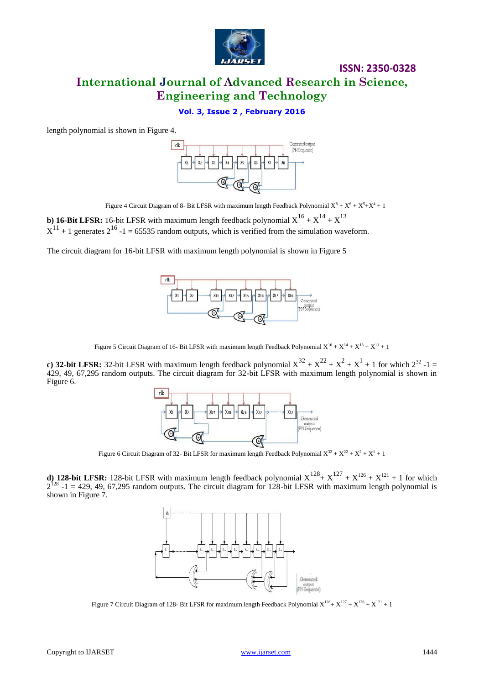

**International Journal of Advanced Research in Science, Engineering and Technology**

# **Vol. 3, Issue 2 , February 2016**

length polynomial is shown in Figure 4.



Figure 4 Circuit Diagram of 8- Bit LFSR with maximum length Feedback Polynomial  $X^8 + X^6 + X^5 + X^4 + 1$ 

**b**) **16-Bit LFSR:** 16-bit LFSR with maximum length feedback polynomial  $X^{16} + X^{14} + X^{13}$  $X^{11}$  + 1 generates  $2^{16}$  -1 = 65535 random outputs, which is verified from the simulation waveform.

The circuit diagram for 16-bit LFSR with maximum length polynomial is shown in Figure 5



Figure 5 Circuit Diagram of 16- Bit LFSR with maximum length Feedback Polynomial  $X^{16} + X^{14} + X^{13} + X^{11} + 1$ 

**c) 32-bit LFSR:** 32-bit LFSR with maximum length feedback polynomial  $X^{32} + X^{22} + X^2 + X^1 + 1$  for which  $2^{32}$  -1 = 429, 49, 67,295 random outputs. The circuit diagram for 32-bit LFSR with maximum length polynomial is shown in Figure 6.



Figure 6 Circuit Diagram of 32- Bit LFSR for maximum length Feedback Polynomial  $X^{32} + X^{22} + X^2 + X^1 + 1$ 

**d) 128-bit LFSR:** 128-bit LFSR with maximum length feedback polynomial  $X^{128} + X^{127} + X^{126} + X^{121} + 1$  for which  $2^{128}$  -1 = 429, 49, 67,295 random outputs. The circuit diagram for 128-bit LFSR with maximum length polynomial is shown in Figure 7.



Figure 7 Circuit Diagram of 128- Bit LFSR for maximum length Feedback Polynomial  $X^{128} + X^{127} + X^{126} + X^{121} + 1$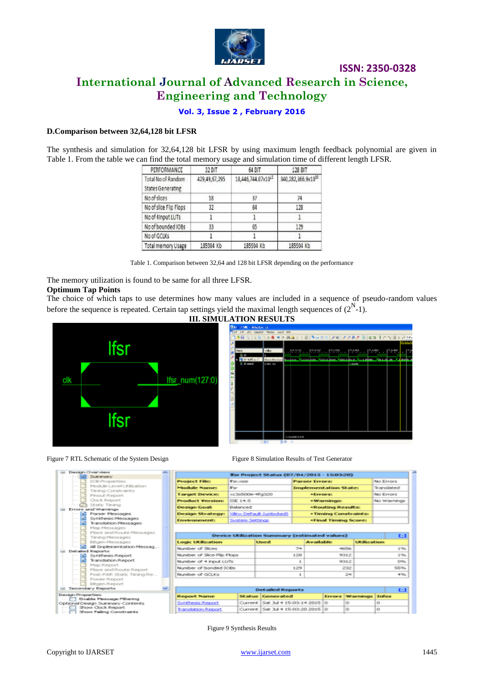

# **International Journal of Advanced Research in Science, Engineering and Technology**

**Vol. 3, Issue 2 , February 2016**

#### **D.Comparison between 32,64,128 bit LFSR**

The synthesis and simulation for 32,64,128 bit LFSR by using maximum length feedback polynomial are given in Table 1. From the table we can find the total memory usage and simulation time of different length LFSR.

| PERFORMANCE                             | 32 BIT        | 64 BIT                         | 128 BIT<br>340,282,366.9x1039<br>74 |  |  |
|-----------------------------------------|---------------|--------------------------------|-------------------------------------|--|--|
| Total No of Random<br>States Generating | 429,49,67,295 | 18,446,744.07x10 <sup>12</sup> |                                     |  |  |
| No of slices                            | 18            | 37                             |                                     |  |  |
| No of slice Flip Flops                  | 32            | 64                             | 128                                 |  |  |
| No of 4Input LUTs                       |               |                                |                                     |  |  |
| No of bounded IOBs                      | 33            | 65                             | 129                                 |  |  |
| No of GCLKs                             |               |                                |                                     |  |  |
| Total memory Usage                      | 185904 Kb     | 185904 Kb                      | 185904 Kb                           |  |  |

Table 1. Comparison between 32,64 and 128 bit LFSR depending on the performance

The memory utilization is found to be same for all three LFSR. **Optimum Tap Points** 

The choice of which taps to use determines how many values are included in a sequence of pseudo-random values before the sequence is repeated. Certain tap settings yield the maximal length sequences of  $(2^N-1)$ .







Figure 7 RTL Schematic of the System Design Figure 8 Simulation Results of Test Generator

| <b>Download</b>                                    | ᅩ |                                                                                                                           |                                 |                                   |             |                              |                        |              |            |  |
|----------------------------------------------------|---|---------------------------------------------------------------------------------------------------------------------------|---------------------------------|-----------------------------------|-------------|------------------------------|------------------------|--------------|------------|--|
| <b>Summary</b><br><b>DCB Properties</b>            |   | <b>Ifse Project Status (07/04/2015 - 15/03/20)</b><br><b>Parser Freers:</b>                                               |                                 |                                   |             | No Emprs                     |                        |              |            |  |
| Mock de Level Litilization.                        |   | <b>Project Files</b>                                                                                                      | <b>Tracculon</b>                |                                   |             |                              |                        |              |            |  |
| Timing Construsints                                |   | Module Name:                                                                                                              | <b>IF</b> sor                   |                                   |             | <b>Implementation State:</b> |                        |              | Translated |  |
| Pinout Report                                      |   | <b>Target Device:</b>                                                                                                     | xc3s500e-4fg320                 |                                   |             | *Frenes:                     |                        | No Exeps:    |            |  |
| Clock Report                                       |   | <b>Product Version:</b>                                                                                                   | ISE 14.5                        |                                   |             | · Warnings:                  |                        | No Warnings  |            |  |
| Static Timing                                      |   | Design Goalt                                                                                                              | Ralanced                        |                                   |             | *Routing Results:            |                        |              |            |  |
| and Warnings<br>Parser Messages                    |   | <b>Design Strategy:</b>                                                                                                   | <b>Stime Default (uniteded)</b> |                                   |             | . Timing Constraints:        |                        |              |            |  |
| Synthesis Messages<br>Translation Messages         |   | <b>Environment:</b>                                                                                                       | System Settings                 |                                   |             | *Final Timing Score:         |                        |              |            |  |
| Map Messages                                       |   |                                                                                                                           |                                 |                                   |             |                              |                        |              |            |  |
| Place and Route Messages                           |   |                                                                                                                           |                                 |                                   |             |                              |                        |              | $F-1$      |  |
| Timing Messages                                    |   | <b>Device Utilization Summary (estimated values)</b><br><b>Life discussibilities</b><br><b>Electric</b><br>Are called de- |                                 |                                   |             |                              |                        |              |            |  |
| <b>Biltgen Messages</b>                            |   | <b>Logic Utilization</b>                                                                                                  |                                 |                                   |             |                              |                        |              |            |  |
| All Einplementation Messag<br>ed Reports           |   | Number of Sices                                                                                                           |                                 |                                   | 74          |                              | <b>ANGELON</b>         |              | 176        |  |
| Synthesis Report                                   |   | Number of Slice Filip Flops                                                                                               |                                 |                                   | 128<br>9312 |                              |                        | 176          |            |  |
| Translation Report                                 |   | Number of 4 input LUTs                                                                                                    |                                 |                                   | 9312<br>1   |                              |                        | <b>DNG</b>   |            |  |
| <b>Map Report</b>                                  |   |                                                                                                                           |                                 |                                   |             |                              |                        |              |            |  |
| Place and Route Report                             |   |                                                                                                                           | Number of banded DOBs           |                                   | 129         | 232                          |                        | <b>SENG</b>  |            |  |
| Post-PAR Static Timing Re                          |   | Number of GO Ks                                                                                                           |                                 |                                   | 24<br>1     |                              | 4%                     |              |            |  |
| Power Report                                       |   |                                                                                                                           |                                 |                                   |             |                              |                        |              |            |  |
| <b>Bitgen Report</b>                               |   |                                                                                                                           |                                 |                                   |             |                              |                        |              |            |  |
| dary Reports                                       |   |                                                                                                                           |                                 | <b>Detailed Reports</b>           |             |                              |                        |              | $F-1$      |  |
| spections:                                         |   | <b>Report Name</b>                                                                                                        |                                 | <b>Status Generated</b>           |             |                              | <b>Errors Warnings</b> | <b>Infos</b> |            |  |
| nable Message Piltering<br>lesign Summary Contents |   | <b>Synthesis Report</b>                                                                                                   |                                 | Current Sat 3ul 4 15 03 14 2015 0 |             | a.                           |                        | iO.          |            |  |
| haw Clack Renart                                   |   | <b>Translation Report</b>                                                                                                 |                                 | Current Sat 3d 4 15 03 20 2015 0  |             |                              | io                     | n            |            |  |
| how Falling Constraints                            |   |                                                                                                                           |                                 |                                   |             |                              |                        |              |            |  |

Figure 9 Synthesis Results